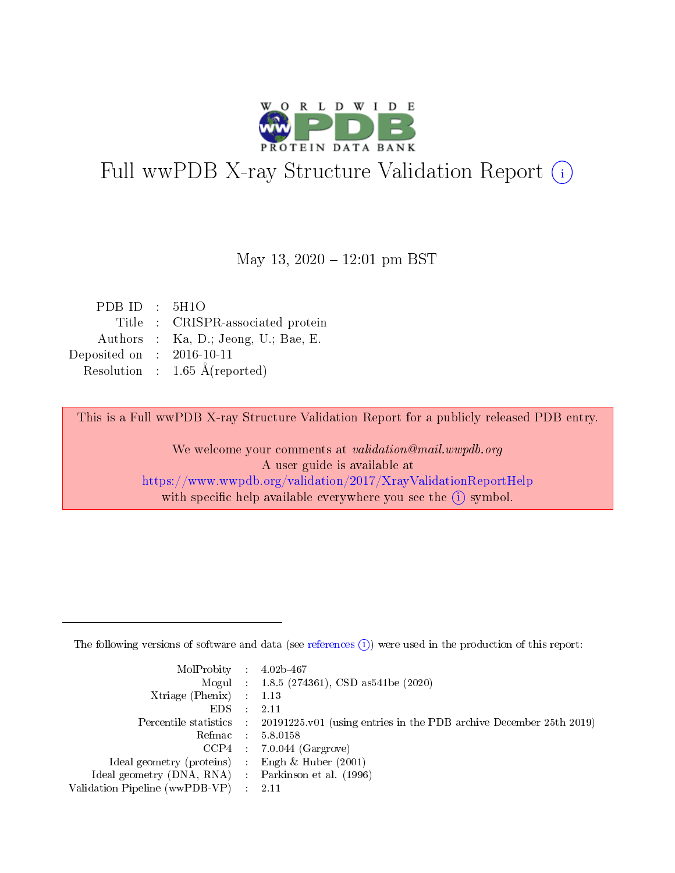

# Full wwPDB X-ray Structure Validation Report (i)

May 13,  $2020 - 12:01$  pm BST

| PDB ID : $5H1O$             |                                          |
|-----------------------------|------------------------------------------|
|                             | Title : CRISPR-associated protein        |
|                             | Authors : Ka, D.; Jeong, U.; Bae, E.     |
| Deposited on : $2016-10-11$ |                                          |
|                             | Resolution : $1.65 \text{ Å}$ (reported) |

This is a Full wwPDB X-ray Structure Validation Report for a publicly released PDB entry.

We welcome your comments at validation@mail.wwpdb.org A user guide is available at <https://www.wwpdb.org/validation/2017/XrayValidationReportHelp> with specific help available everywhere you see the  $(i)$  symbol.

The following versions of software and data (see [references](https://www.wwpdb.org/validation/2017/XrayValidationReportHelp#references)  $(1)$ ) were used in the production of this report:

| $MolProbability$ : 4.02b-467                        |                                                                                              |
|-----------------------------------------------------|----------------------------------------------------------------------------------------------|
|                                                     | Mogul : 1.8.5 (274361), CSD as 541 be (2020)                                                 |
| Xtriage (Phenix) $: 1.13$                           |                                                                                              |
| $EDS$ :                                             | -2.11                                                                                        |
|                                                     | Percentile statistics : $20191225.v01$ (using entries in the PDB archive December 25th 2019) |
| Refmac : 5.8.0158                                   |                                                                                              |
|                                                     | $CCP4$ : 7.0.044 (Gargrove)                                                                  |
| Ideal geometry (proteins) :                         | Engh $\&$ Huber (2001)                                                                       |
| Ideal geometry (DNA, RNA) : Parkinson et al. (1996) |                                                                                              |
| Validation Pipeline (wwPDB-VP) : 2.11               |                                                                                              |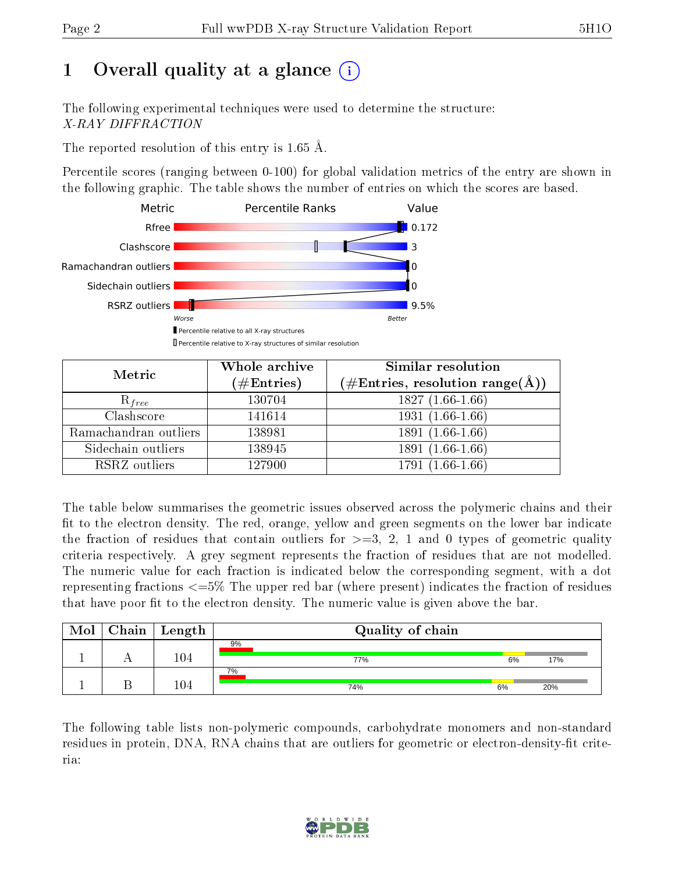## 1 [O](https://www.wwpdb.org/validation/2017/XrayValidationReportHelp#overall_quality)verall quality at a glance (i)

The following experimental techniques were used to determine the structure: X-RAY DIFFRACTION

The reported resolution of this entry is 1.65 Å.

Percentile scores (ranging between 0-100) for global validation metrics of the entry are shown in the following graphic. The table shows the number of entries on which the scores are based.



| Metric                | Whole archive<br>$(\#\text{Entries})$ | Similar resolution<br>$(\#\text{Entries},\,\text{resolution}\,\,\text{range}(\textup{\AA}))$ |  |  |
|-----------------------|---------------------------------------|----------------------------------------------------------------------------------------------|--|--|
| $R_{free}$            | 130704                                | $1827(1.66-1.66)$                                                                            |  |  |
| Clashscore            | 141614                                | $1931(1.66-1.66)$                                                                            |  |  |
| Ramachandran outliers | 138981                                | $1891(1.66-1.66)$                                                                            |  |  |
| Sidechain outliers    | 138945                                | 1891 (1.66-1.66)                                                                             |  |  |
| RSRZ outliers         | 127900                                | 1791 (1.66-1.66)                                                                             |  |  |

The table below summarises the geometric issues observed across the polymeric chains and their fit to the electron density. The red, orange, yellow and green segments on the lower bar indicate the fraction of residues that contain outliers for  $>=3, 2, 1$  and 0 types of geometric quality criteria respectively. A grey segment represents the fraction of residues that are not modelled. The numeric value for each fraction is indicated below the corresponding segment, with a dot representing fractions <=5% The upper red bar (where present) indicates the fraction of residues that have poor fit to the electron density. The numeric value is given above the bar.

| Mol | ${\rm Chain \mid Length}$ | Quality of chain |    |     |
|-----|---------------------------|------------------|----|-----|
|     | $104\,$                   | 9%<br>77%        | 6% | 17% |
|     | 104                       | 7%<br>74%        | 6% | 20% |

The following table lists non-polymeric compounds, carbohydrate monomers and non-standard residues in protein, DNA, RNA chains that are outliers for geometric or electron-density-fit criteria:

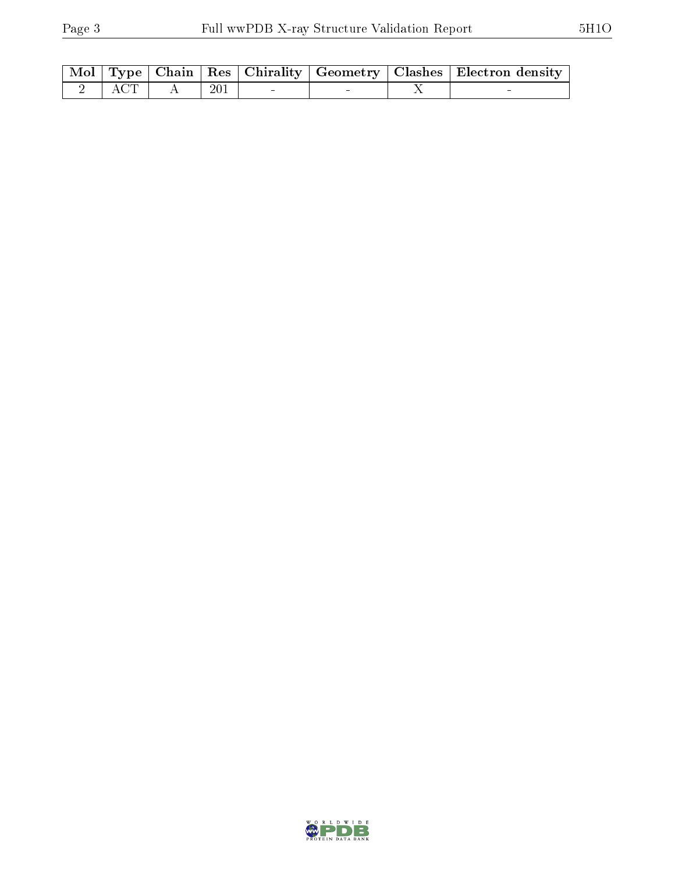|  |                                                                                                                                                  |  |  | Mol   Type   Chain   Res   Chirality   Geometry   Clashes   Electron density |
|--|--------------------------------------------------------------------------------------------------------------------------------------------------|--|--|------------------------------------------------------------------------------|
|  | $\begin{array}{ c c c c c c c c c } \hline \textbf{2} & \textbf{ACT} & \textbf{A} & \textbf{201} & \textbf{5} & \textbf{6} \ \hline \end{array}$ |  |  |                                                                              |

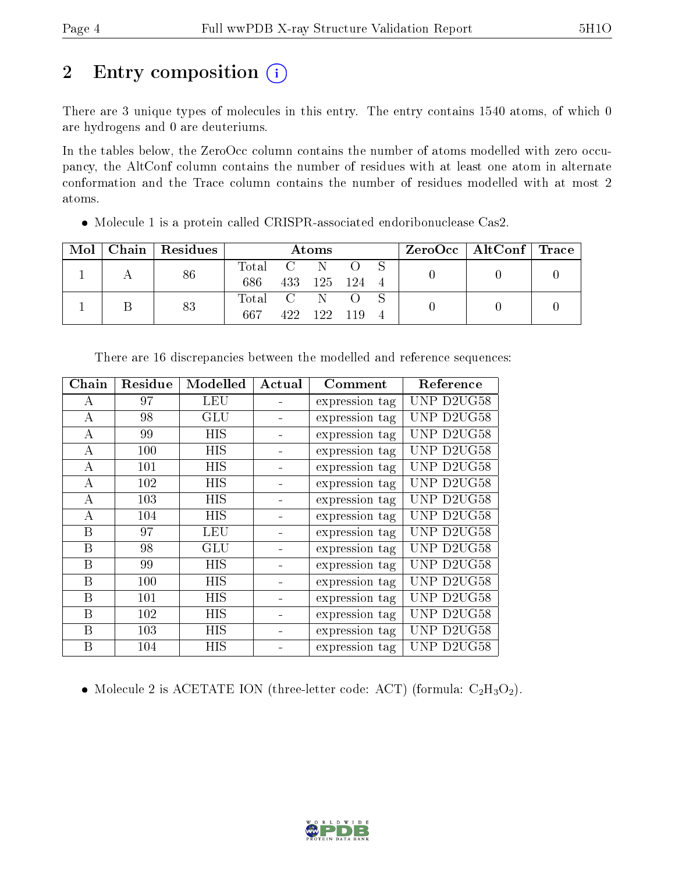### 2 Entry composition  $\left( \cdot \right)$

There are 3 unique types of molecules in this entry. The entry contains 1540 atoms, of which 0 are hydrogens and 0 are deuteriums.

In the tables below, the ZeroOcc column contains the number of atoms modelled with zero occupancy, the AltConf column contains the number of residues with at least one atom in alternate conformation and the Trace column contains the number of residues modelled with at most 2 atoms.

| Mol | Chain   Residues | Atoms         |  |               |  |  | ZeroOcc   AltConf   Trace |  |
|-----|------------------|---------------|--|---------------|--|--|---------------------------|--|
|     | 86               | Total C N O S |  |               |  |  |                           |  |
|     |                  | 686           |  | 433 125 124 4 |  |  |                           |  |
|     | 83               | Total C N O   |  |               |  |  |                           |  |
|     |                  | 667           |  | 422 122 119 4 |  |  |                           |  |

Molecule 1 is a protein called CRISPR-associated endoribonuclease Cas2.

| ${\bf Chain}$    | Residue | Modelled   | Actual | Comment        | Reference  |
|------------------|---------|------------|--------|----------------|------------|
| А                | 97      | <b>LEU</b> |        | expression tag | UNP D2UG58 |
| $\boldsymbol{A}$ | 98      | GLU        |        | expression tag | UNP D2UG58 |
| A                | 99      | <b>HIS</b> |        | expression tag | UNP D2UG58 |
| А                | 100     | HIS        |        | expression tag | UNP D2UG58 |
| А                | 101     | HIS        |        | expression tag | UNP D2UG58 |
| А                | 102     | <b>HIS</b> |        | expression tag | UNP D2UG58 |
| A                | 103     | <b>HIS</b> |        | expression tag | UNP D2UG58 |
| $\boldsymbol{A}$ | 104     | <b>HIS</b> |        | expression tag | UNP D2UG58 |
| B                | 97      | LEU        |        | expression tag | UNP D2UG58 |
| B                | 98      | GLU        |        | expression tag | UNP D2UG58 |
| B                | 99      | HIS        |        | expression tag | UNP D2UG58 |
| B                | 100     | HIS        |        | expression tag | UNP D2UG58 |
| B                | 101     | HIS        |        | expression tag | UNP D2UG58 |
| B                | 102     | <b>HIS</b> |        | expression tag | UNP D2UG58 |
| Β                | 103     | HIS        |        | expression tag | UNP D2UG58 |
| Β                | 104     | HIS        |        | expression tag | UNP D2UG58 |

There are 16 discrepancies between the modelled and reference sequences:

• Molecule 2 is ACETATE ION (three-letter code: ACT) (formula:  $C_2H_3O_2$ ).

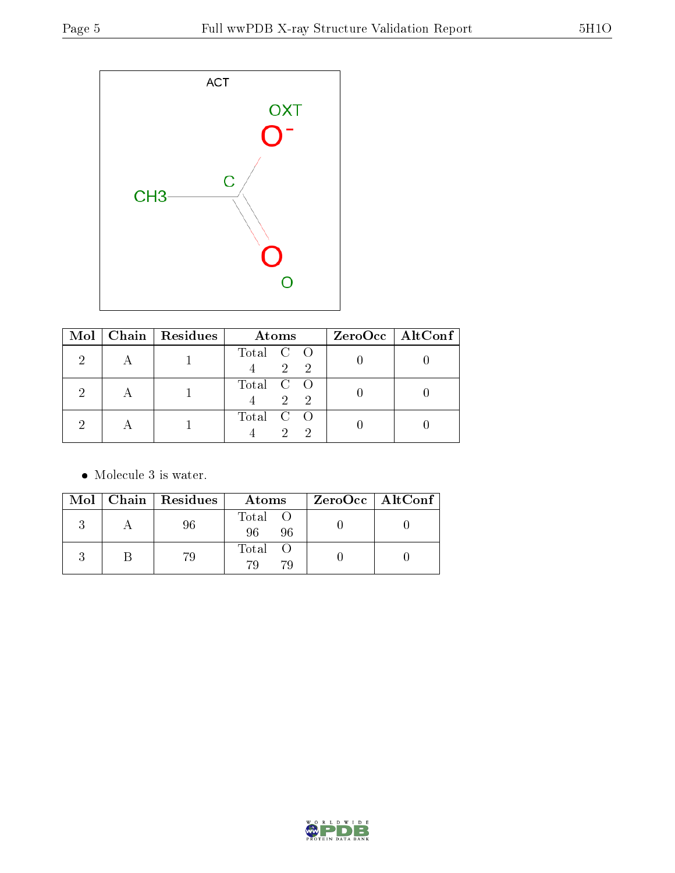

| $\bf{Mol}$ | Chain   Residues | Atoms                                | $ZeroOcc$   AltConf |
|------------|------------------|--------------------------------------|---------------------|
|            |                  | Total C O<br>$\mathfrak{D}^-$<br>- 2 |                     |
|            |                  | Total C O<br>$2^{\circ}$<br>- 2      |                     |
|            |                  | Total C O<br>$\mathcal{D}$           |                     |

• Molecule 3 is water.

|  | Mol   Chain   Residues | Atoms               | $\rm ZeroOcc \mid AltConf \mid$ |
|--|------------------------|---------------------|---------------------------------|
|  |                        | Total O<br>96<br>96 |                                 |
|  | 79                     | Total O<br>70<br>79 |                                 |

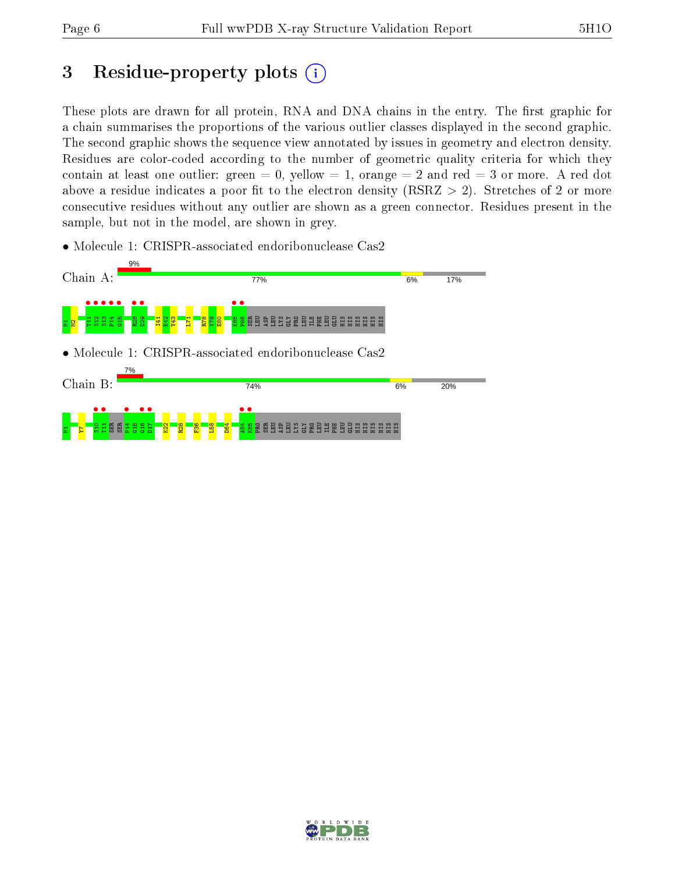### 3 Residue-property plots  $(i)$

These plots are drawn for all protein, RNA and DNA chains in the entry. The first graphic for a chain summarises the proportions of the various outlier classes displayed in the second graphic. The second graphic shows the sequence view annotated by issues in geometry and electron density. Residues are color-coded according to the number of geometric quality criteria for which they contain at least one outlier: green  $= 0$ , yellow  $= 1$ , orange  $= 2$  and red  $= 3$  or more. A red dot above a residue indicates a poor fit to the electron density (RSRZ  $> 2$ ). Stretches of 2 or more consecutive residues without any outlier are shown as a green connector. Residues present in the sample, but not in the model, are shown in grey.

• Molecule 1: CRISPR-associated endoribonuclease Cas2



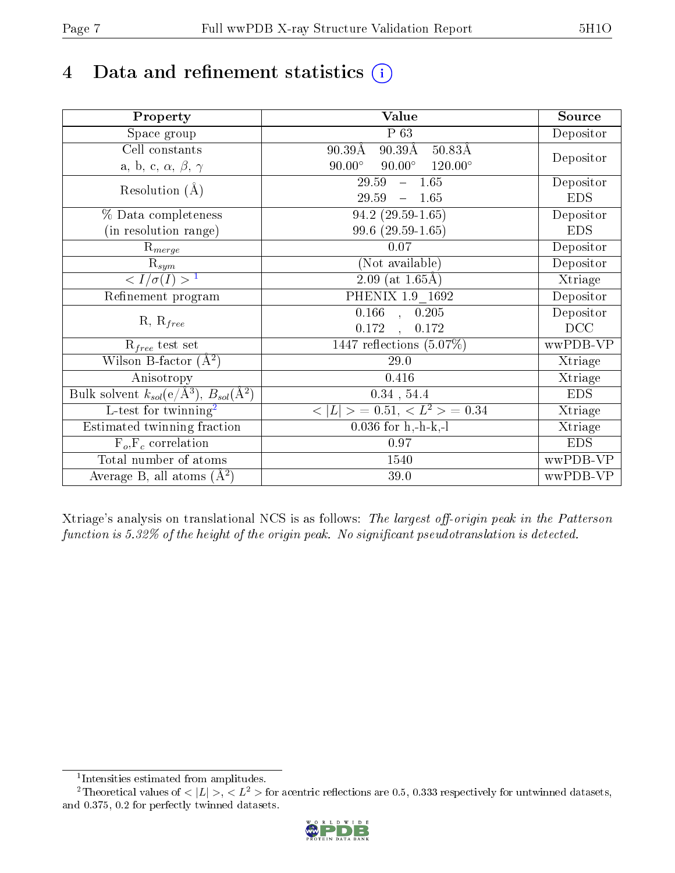## 4 Data and refinement statistics  $(i)$

| Property                                                             | Value                                                       | Source     |
|----------------------------------------------------------------------|-------------------------------------------------------------|------------|
| $\overline{\text{Space}}$ group                                      | P 63                                                        | Depositor  |
| Cell constants                                                       | $90.39\text{\AA}$<br>$50.83\text{\AA}$<br>$90.39\text{\AA}$ |            |
| a, b, c, $\alpha$ , $\beta$ , $\gamma$                               | $90.00^\circ$<br>$90.00^\circ$<br>$120.00^\circ$            | Depositor  |
| Resolution $(A)$                                                     | $-1.65$<br>29.59                                            | Depositor  |
|                                                                      | 29.59<br>$-1.65$                                            | <b>EDS</b> |
| % Data completeness                                                  | $94.2(29.59-1.65)$                                          | Depositor  |
| (in resolution range)                                                | 99.6 (29.59-1.65)                                           | <b>EDS</b> |
| $R_{merge}$                                                          | 0.07                                                        | Depositor  |
| $\mathrm{R}_{sym}$                                                   | (Not available)                                             | Depositor  |
| $\langle I/\sigma(I) \rangle$ <sup>1</sup>                           | $2.09$ (at 1.65Å)                                           | Xtriage    |
| Refinement program                                                   | PHENIX 1.9 1692                                             | Depositor  |
|                                                                      | $\overline{0.166}$ ,<br>0.205                               | Depositor  |
| $R, R_{free}$                                                        | 0.172<br>0.172<br>$\mathbf{r}$                              | DCC        |
| $\mathcal{R}_{free}$ test set                                        | 1447 reflections $(5.07\%)$                                 | wwPDB-VP   |
| Wilson B-factor $(A^2)$                                              | 29.0                                                        | Xtriage    |
| Anisotropy                                                           | 0.416                                                       | Xtriage    |
| Bulk solvent $k_{sol}(e/\mathring{A}^3)$ , $B_{sol}(\mathring{A}^2)$ | $0.34$ , 54.4                                               | <b>EDS</b> |
| L-test for twinning <sup>2</sup>                                     | $\langle  L  \rangle = 0.51, \langle L^2 \rangle = 0.34$    | Xtriage    |
| Estimated twinning fraction                                          | $0.036$ for h,-h-k,-l                                       | Xtriage    |
| $F_o, F_c$ correlation                                               | 0.97                                                        | <b>EDS</b> |
| Total number of atoms                                                | 1540                                                        | wwPDB-VP   |
| Average B, all atoms $(A^2)$                                         | 39.0                                                        | wwPDB-VP   |

Xtriage's analysis on translational NCS is as follows: The largest off-origin peak in the Patterson function is  $5.32\%$  of the height of the origin peak. No significant pseudotranslation is detected.

<sup>&</sup>lt;sup>2</sup>Theoretical values of  $\langle |L| \rangle$ ,  $\langle L^2 \rangle$  for acentric reflections are 0.5, 0.333 respectively for untwinned datasets, and 0.375, 0.2 for perfectly twinned datasets.



<span id="page-6-1"></span><span id="page-6-0"></span><sup>1</sup> Intensities estimated from amplitudes.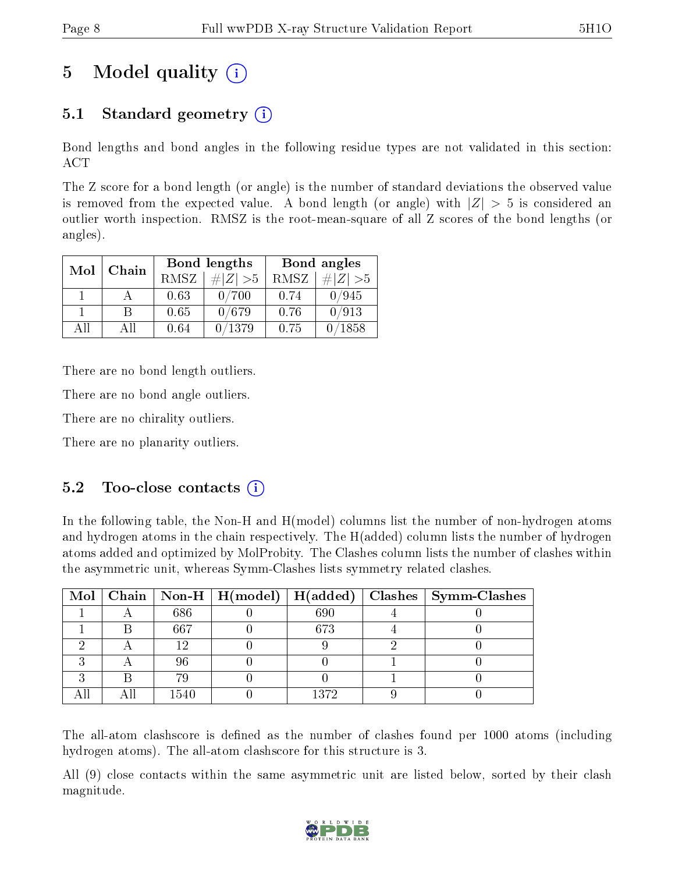### 5 Model quality  $(i)$

### 5.1 Standard geometry  $(i)$

Bond lengths and bond angles in the following residue types are not validated in this section: ACT

The Z score for a bond length (or angle) is the number of standard deviations the observed value is removed from the expected value. A bond length (or angle) with  $|Z| > 5$  is considered an outlier worth inspection. RMSZ is the root-mean-square of all Z scores of the bond lengths (or angles).

| Mol | Chain |      | Bond lengths | Bond angles |                 |  |
|-----|-------|------|--------------|-------------|-----------------|--|
|     |       | RMSZ | $\# Z  > 5$  | RMSZ        | $\# Z  > 5$     |  |
|     |       | 0.63 | 0/700        | 0.74        | 0/945           |  |
|     |       | 0.65 | 0/679        | 0.76        | 0/913           |  |
| ΔH  | A 11  | 0.64 | /1379        | 0.75        | $^{\prime}1858$ |  |

There are no bond length outliers.

There are no bond angle outliers.

There are no chirality outliers.

There are no planarity outliers.

#### $5.2$  Too-close contacts  $(i)$

In the following table, the Non-H and H(model) columns list the number of non-hydrogen atoms and hydrogen atoms in the chain respectively. The H(added) column lists the number of hydrogen atoms added and optimized by MolProbity. The Clashes column lists the number of clashes within the asymmetric unit, whereas Symm-Clashes lists symmetry related clashes.

|  |      |      | Mol   Chain   Non-H   H(model)   H(added)   Clashes   Symm-Clashes |
|--|------|------|--------------------------------------------------------------------|
|  | 686  | 690  |                                                                    |
|  | 667  | 673  |                                                                    |
|  |      |      |                                                                    |
|  | 96   |      |                                                                    |
|  | 70   |      |                                                                    |
|  | 1540 | 1372 |                                                                    |

The all-atom clashscore is defined as the number of clashes found per 1000 atoms (including hydrogen atoms). The all-atom clashscore for this structure is 3.

All (9) close contacts within the same asymmetric unit are listed below, sorted by their clash magnitude.

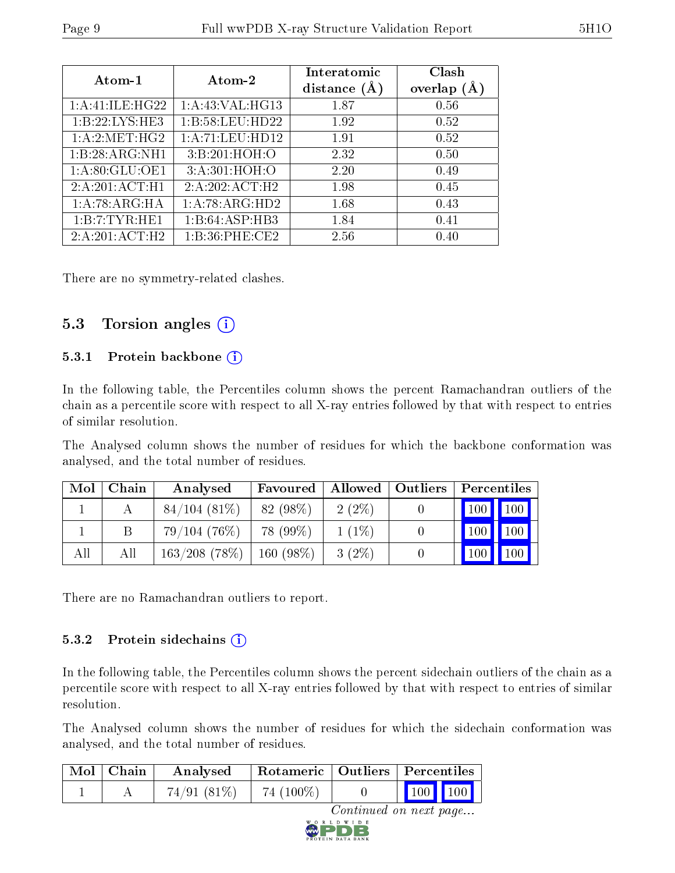| Atom-1           | Atom-2            | Interatomic<br>distance $(\AA)$ | Clash<br>overlap $(A)$ |
|------------------|-------------------|---------------------------------|------------------------|
| 1:A:41:ILE:HG22  | 1: A:43: VAL:HG13 | 1.87                            | 0.56                   |
| 1:B:22:LYS:HE3   | 1:B:58:LEU:HD22   | 1.92                            | 0.52                   |
| 1: A:2: MET:HG2  | 1:A:71:LEU:HD12   | 1.91                            | 0.52                   |
| 1:B:28:ARG:NH1   | 3:B:201:HOH:O     | 2.32                            | 0.50                   |
| 1: A:80: GLU:OE1 | 3:A:301:HOH:O     | 2.20                            | 0.49                   |
| 2:A:201:ACT:H1   | 2:A:202:ACT:H2    | 1.98                            | 0.45                   |
| 1:A:78:ARG:HA    | 1:A:78:ARG:HD2    | 1.68                            | 0.43                   |
| 1:B:7:TYR:HE1    | 1:B:64:ASP:HB3    | 1.84                            | 0.41                   |
| 2:A:201:ACT:H2   | 1:B:36:PHE:CE2    | 2.56                            | 0.40                   |

There are no symmetry-related clashes.

#### 5.3 Torsion angles  $(i)$

#### 5.3.1 Protein backbone  $(i)$

In the following table, the Percentiles column shows the percent Ramachandran outliers of the chain as a percentile score with respect to all X-ray entries followed by that with respect to entries of similar resolution.

The Analysed column shows the number of residues for which the backbone conformation was analysed, and the total number of residues.

| Mol | Chain | Analysed         | Favoured    |          | Allowed   Outliers   Percentiles |                   |     |
|-----|-------|------------------|-------------|----------|----------------------------------|-------------------|-----|
|     |       | $84/104(81\%)$   | 82 (98\%)   | $2(2\%)$ |                                  | 100 100           |     |
|     |       | 79/104(76%)      | 78 (99\%)   | $1(1\%)$ |                                  | $\mid$ 100 $\mid$ | 100 |
| All | All   | $163/208$ (78\%) | $160(98\%)$ | $3(2\%)$ |                                  | 100               | 100 |

There are no Ramachandran outliers to report.

#### 5.3.2 Protein sidechains  $(i)$

In the following table, the Percentiles column shows the percent sidechain outliers of the chain as a percentile score with respect to all X-ray entries followed by that with respect to entries of similar resolution.

The Analysed column shows the number of residues for which the sidechain conformation was analysed, and the total number of residues.

|                        | $\mid$ Mol $\mid$ Chain | Analysed   | $\mid$ Rotameric $\mid$ Outliers $\mid$ Percentiles |  |                 |  |
|------------------------|-------------------------|------------|-----------------------------------------------------|--|-----------------|--|
|                        |                         | 74/91(81%) | 74 $(100\%)$                                        |  | $\vert$ 100 100 |  |
| Continued on next nage |                         |            |                                                     |  |                 |  |

ntinued on next page... D W I D E

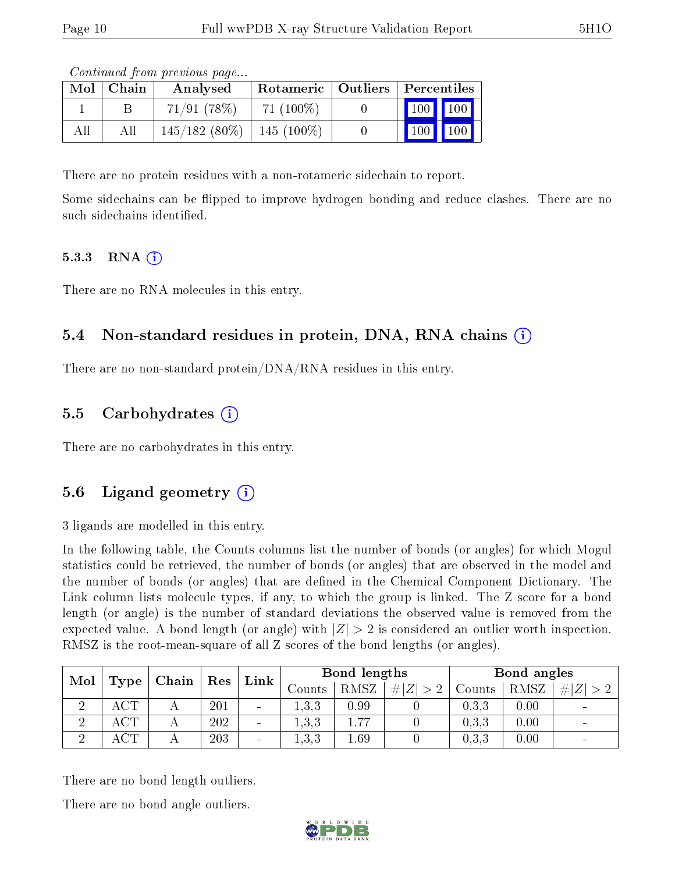| Mol | Chain | Analysed                       | Rotameric   Outliers   Percentiles |                              |  |
|-----|-------|--------------------------------|------------------------------------|------------------------------|--|
|     |       | $71/91$ (78\%)                 | $71(100\%)$                        | 100 100                      |  |
| All | All   | $145/182$ (80\%)   145 (100\%) |                                    | $\mid$ 100 $\mid$ 100 $\mid$ |  |

Continued from previous page...

There are no protein residues with a non-rotameric sidechain to report.

Some sidechains can be flipped to improve hydrogen bonding and reduce clashes. There are no such sidechains identified.

#### 5.3.3 RNA (1)

There are no RNA molecules in this entry.

#### 5.4 Non-standard residues in protein, DNA, RNA chains (i)

There are no non-standard protein/DNA/RNA residues in this entry.

#### 5.5 Carbohydrates  $(i)$

There are no carbohydrates in this entry.

#### 5.6 Ligand geometry (i)

3 ligands are modelled in this entry.

In the following table, the Counts columns list the number of bonds (or angles) for which Mogul statistics could be retrieved, the number of bonds (or angles) that are observed in the model and the number of bonds (or angles) that are dened in the Chemical Component Dictionary. The Link column lists molecule types, if any, to which the group is linked. The Z score for a bond length (or angle) is the number of standard deviations the observed value is removed from the expected value. A bond length (or angle) with  $|Z| > 2$  is considered an outlier worth inspection. RMSZ is the root-mean-square of all Z scores of the bond lengths (or angles).

| Mol |      | Chain | Res | Link                     | Bond lengths |      |            | Bond angles |      |                          |
|-----|------|-------|-----|--------------------------|--------------|------|------------|-------------|------|--------------------------|
|     | Type |       |     |                          | Counts       | RMSZ | H Z <br>>2 | Counts      | RMSZ | Z <br>#I                 |
|     | ACT  |       | 201 | $\overline{\phantom{a}}$ | 1, 3, 3      | 0.99 |            | 0.3.3       | 0.00 | $\overline{\phantom{0}}$ |
|     | ACT. |       | 202 | $\sim$                   | 1,3,3        | 77   |            | 0.3.3       | 0.00 | $\qquad \qquad$          |
|     | ACT  |       | 203 | $\overline{\phantom{a}}$ | 1,3,3        | 1.69 |            | 0,3,3       | 0.00 | $\overline{\phantom{0}}$ |

There are no bond length outliers.

There are no bond angle outliers.

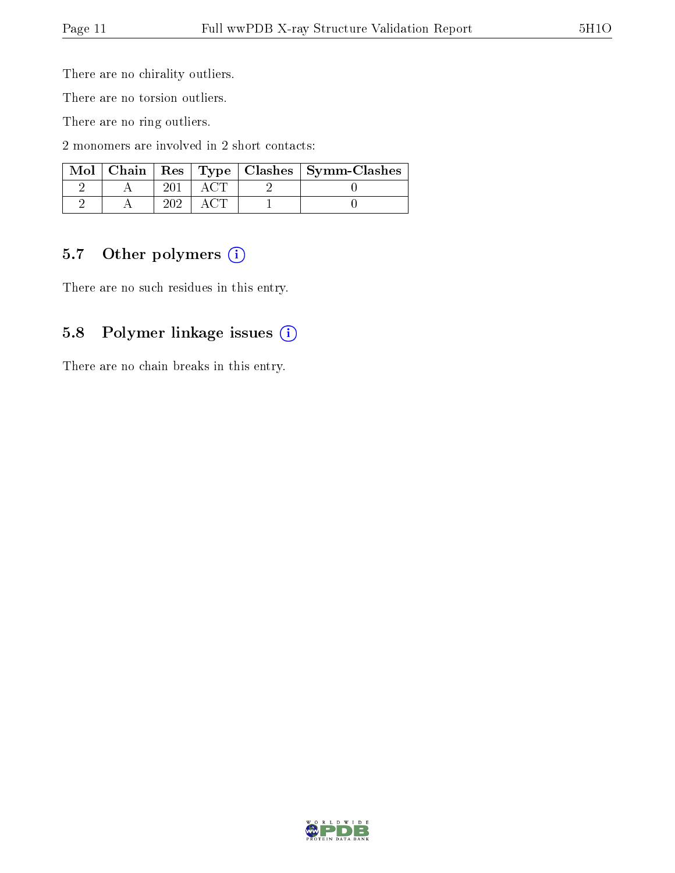There are no chirality outliers.

There are no torsion outliers.

There are no ring outliers.

2 monomers are involved in 2 short contacts:

|  |  | Mol   Chain   Res   Type   Clashes   Symm-Clashes |
|--|--|---------------------------------------------------|
|  |  |                                                   |
|  |  |                                                   |

#### 5.7 [O](https://www.wwpdb.org/validation/2017/XrayValidationReportHelp#nonstandard_residues_and_ligands)ther polymers (i)

There are no such residues in this entry.

#### 5.8 Polymer linkage issues (i)

There are no chain breaks in this entry.

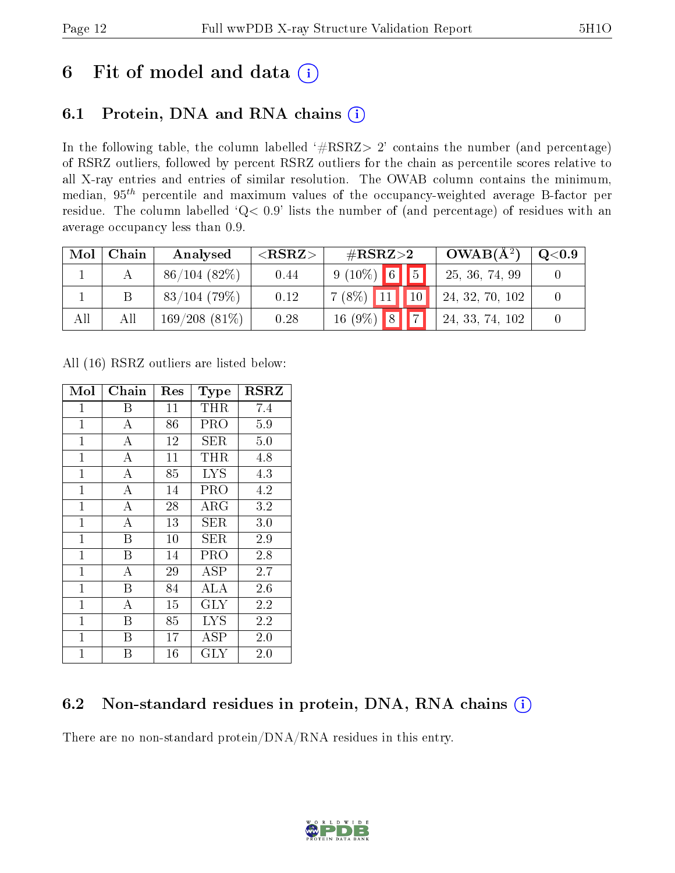### 6 Fit of model and data  $(i)$

### 6.1 Protein, DNA and RNA chains  $(i)$

In the following table, the column labelled  $#RSRZ> 2'$  contains the number (and percentage) of RSRZ outliers, followed by percent RSRZ outliers for the chain as percentile scores relative to all X-ray entries and entries of similar resolution. The OWAB column contains the minimum, median,  $95<sup>th</sup>$  percentile and maximum values of the occupancy-weighted average B-factor per residue. The column labelled ' $Q< 0.9$ ' lists the number of (and percentage) of residues with an average occupancy less than 0.9.

| Mol | Chain | Analysed        | ${ <\hspace{-1.5pt}{\mathrm{RSRZ}} \hspace{-1.5pt}>}$ | $\#\text{RSRZ}{>}2$             | $OWAB(A^2)$     | $\mathrm{Q}{<}0.9$ |
|-----|-------|-----------------|-------------------------------------------------------|---------------------------------|-----------------|--------------------|
|     |       | 86/104(82%)     | 0.44                                                  | $9(10\%)$ 6 5                   | 25, 36, 74, 99  |                    |
|     |       | $83/104$ (79%)  | 0.12                                                  | $\boxed{10}$<br>$7(8\%)$ 11     | 24, 32, 70, 102 |                    |
| All | All   | $169/208(81\%)$ | 0.28                                                  | $16(9\%)$ 8 7<br>$\blacksquare$ | 24, 33, 74, 102 |                    |

All (16) RSRZ outliers are listed below:

| Mol          | ${\rm Chain}$    | $\operatorname{Res}% \left( \mathcal{N}\right) \equiv\operatorname{Res}(\mathcal{N}_{0})\cap\mathcal{N}_{1}$ | Type       | $_{\rm RSRZ}$ |
|--------------|------------------|--------------------------------------------------------------------------------------------------------------|------------|---------------|
| $\mathbf{1}$ | Β                | 11                                                                                                           | THR        | 7.4           |
| $\mathbf{1}$ | А                | 86                                                                                                           | PRO        | 5.9           |
| $\mathbf{1}$ | $\boldsymbol{A}$ | 12                                                                                                           | SER        | 5.0           |
| $\mathbf 1$  | $\boldsymbol{A}$ | 11                                                                                                           | THR        | 4.8           |
| $\mathbf{1}$ | $\bf{A}$         | 85                                                                                                           | <b>LYS</b> | 4.3           |
| $\mathbf{1}$ | $\bf{A}$         | 14                                                                                                           | PRO        | 4.2           |
| $\mathbf{1}$ | $\overline{A}$   | 28                                                                                                           | $\rm{ARG}$ | 3.2           |
| $\mathbf{1}$ | $\boldsymbol{A}$ | 13                                                                                                           | SER        | 3.0           |
| $\mathbf 1$  | Β                | 10                                                                                                           | SER        | 2.9           |
| $\mathbf{1}$ | B                | 14                                                                                                           | PRO        | 2.8           |
| $\mathbf{1}$ | $\overline{A}$   | 29                                                                                                           | ASP        | 2.7           |
| $\mathbf{1}$ | B                | 84                                                                                                           | ALA        | 2.6           |
| $\mathbf{1}$ | А                | 15                                                                                                           | <b>GLY</b> | $2.2\,$       |
| $\mathbf 1$  | Β                | 85                                                                                                           | <b>LYS</b> | 2.2           |
| $\mathbf{1}$ | B                | 17                                                                                                           | ASP        | 2.0           |
| $\mathbf{1}$ | B                | 16                                                                                                           | GLY        | 2.0           |

### 6.2 Non-standard residues in protein, DNA, RNA chains  $(i)$

There are no non-standard protein/DNA/RNA residues in this entry.